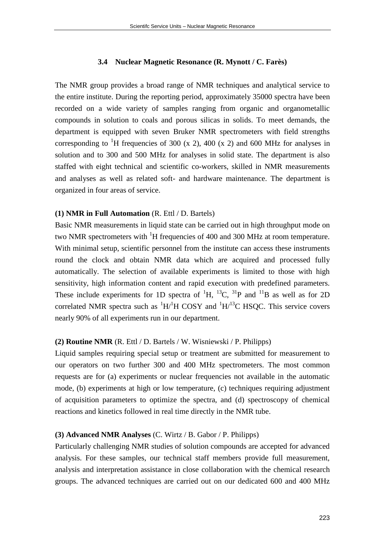#### **3.4 Nuclear Magnetic Resonance (R. Mynott / C. Farès)**

The NMR group provides a broad range of NMR techniques and analytical service to the entire institute. During the reporting period, approximately 35000 spectra have been recorded on a wide variety of samples ranging from organic and organometallic compounds in solution to coals and porous silicas in solids. To meet demands, the department is equipped with seven Bruker NMR spectrometers with field strengths corresponding to <sup>1</sup>H frequencies of 300 (x 2), 400 (x 2) and 600 MHz for analyses in solution and to 300 and 500 MHz for analyses in solid state. The department is also staffed with eight technical and scientific co-workers, skilled in NMR measurements and analyses as well as related soft- and hardware maintenance. The department is organized in four areas of service.

## **(1) NMR in Full Automation** (R. Ettl / D. Bartels)

Basic NMR measurements in liquid state can be carried out in high throughput mode on two NMR spectrometers with <sup>1</sup>H frequencies of 400 and 300 MHz at room temperature. With minimal setup, scientific personnel from the institute can access these instruments round the clock and obtain NMR data which are acquired and processed fully automatically. The selection of available experiments is limited to those with high sensitivity, high information content and rapid execution with predefined parameters. These include experiments for 1D spectra of  ${}^{1}H$ ,  ${}^{13}C$ ,  ${}^{31}P$  and  ${}^{11}B$  as well as for 2D correlated NMR spectra such as  ${}^{1}H/{}^{1}H$  COSY and  ${}^{1}H/{}^{13}C$  HSQC. This service covers nearly 90% of all experiments run in our department.

#### **(2) Routine NMR** (R. Ettl / D. Bartels / W. Wisniewski / P. Philipps)

Liquid samples requiring special setup or treatment are submitted for measurement to our operators on two further 300 and 400 MHz spectrometers. The most common requests are for (a) experiments or nuclear frequencies not available in the automatic mode, (b) experiments at high or low temperature, (c) techniques requiring adjustment of acquisition parameters to optimize the spectra, and (d) spectroscopy of chemical reactions and kinetics followed in real time directly in the NMR tube.

### **(3) Advanced NMR Analyses** (C. Wirtz / B. Gabor / P. Philipps)

Particularly challenging NMR studies of solution compounds are accepted for advanced analysis. For these samples, our technical staff members provide full measurement, analysis and interpretation assistance in close collaboration with the chemical research groups. The advanced techniques are carried out on our dedicated 600 and 400 MHz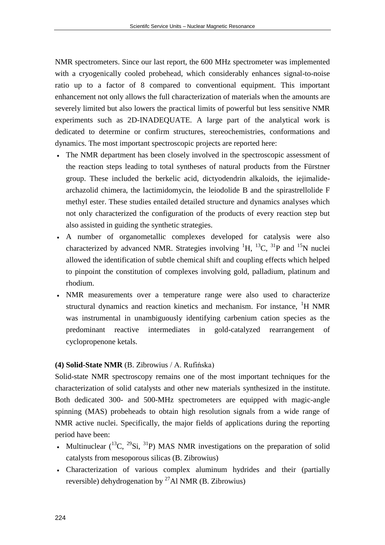NMR spectrometers. Since our last report, the 600 MHz spectrometer was implemented with a cryogenically cooled probehead, which considerably enhances signal-to-noise ratio up to a factor of 8 compared to conventional equipment. This important enhancement not only allows the full characterization of materials when the amounts are severely limited but also lowers the practical limits of powerful but less sensitive NMR experiments such as 2D-INADEQUATE. A large part of the analytical work is dedicated to determine or confirm structures, stereochemistries, conformations and dynamics. The most important spectroscopic projects are reported here:

- The NMR department has been closely involved in the spectroscopic assessment of the reaction steps leading to total syntheses of natural products from the Fürstner group. These included the berkelic acid, dictyodendrin alkaloids, the iejimalidearchazolid chimera, the lactimidomycin, the leiodolide B and the spirastrellolide F methyl ester. These studies entailed detailed structure and dynamics analyses which not only characterized the configuration of the products of every reaction step but also assisted in guiding the synthetic strategies.
- A number of organometallic complexes developed for catalysis were also characterized by advanced NMR. Strategies involving  ${}^{1}H$ ,  ${}^{13}C$ ,  ${}^{31}P$  and  ${}^{15}N$  nuclei allowed the identification of subtle chemical shift and coupling effects which helped to pinpoint the constitution of complexes involving gold, palladium, platinum and rhodium.
- NMR measurements over a temperature range were also used to characterize structural dynamics and reaction kinetics and mechanism. For instance, <sup>1</sup>H NMR was instrumental in unambiguously identifying carbenium cation species as the predominant reactive intermediates in gold-catalyzed rearrangement of cyclopropenone ketals.

# **(4) Solid-State NMR** (B. Zibrowius / A. Rufińska)

Solid-state NMR spectroscopy remains one of the most important techniques for the characterization of solid catalysts and other new materials synthesized in the institute. Both dedicated 300- and 500-MHz spectrometers are equipped with magic-angle spinning (MAS) probeheads to obtain high resolution signals from a wide range of NMR active nuclei. Specifically, the major fields of applications during the reporting period have been:

- Multinuclear  $(^{13}C, ^{29}Si, ^{31}P)$  MAS NMR investigations on the preparation of solid catalysts from mesoporous silicas (B. Zibrowius)
- Characterization of various complex aluminum hydrides and their (partially reversible) dehydrogenation by  $^{27}$ Al NMR (B. Zibrowius)